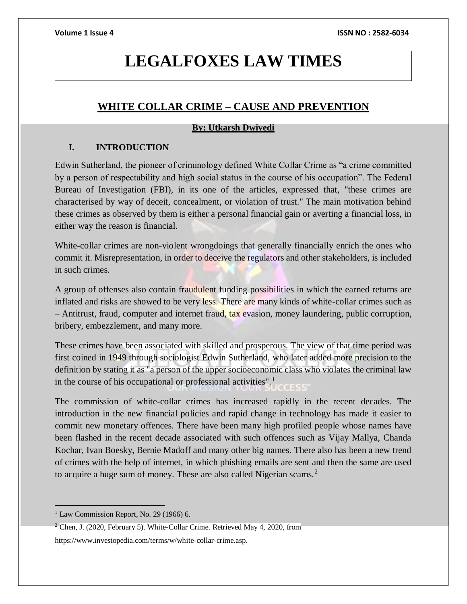# **LEGALFOXES LAW TIMES**

## **WHITE COLLAR CRIME – CAUSE AND PREVENTION**

### **By: Utkarsh Dwivedi**

### **I. INTRODUCTION**

Edwin Sutherland, the pioneer of criminology defined White Collar Crime as "a crime committed by a person of respectability and high social status in the course of his occupation". The Federal Bureau of Investigation (FBI), in its one of the articles, expressed that, "these crimes are characterised by way of deceit, concealment, or violation of trust." The main motivation behind these crimes as observed by them is either a personal financial gain or averting a financial loss, in either way the reason is financial.

White-collar crimes are non-violent wrongdoings that generally financially enrich the ones who commit it. Misrepresentation, in order to deceive the regulators and other stakeholders, is included in such crimes.

A group of offenses also contain fraudulent funding possibilities in which the earned returns are inflated and risks are showed to be very less. There are many kinds of white-collar crimes such as – Antitrust, fraud, computer and internet fraud, tax evasion, money laundering, public corruption, bribery, embezzlement, and many more.

These crimes have been associated with skilled and prosperous. The view of that time period was first coined in 1949 through sociologist Edwin Sutherland, who later added more precision to the definition by stating it as "a person of the upper socioeconomic class who violates the criminal law in the course of his occupational or professional activities".<sup>1</sup>

The commission of white-collar crimes has increased rapidly in the recent decades. The introduction in the new financial policies and rapid change in technology has made it easier to commit new monetary offences. There have been many high profiled people whose names have been flashed in the recent decade associated with such offences such as Vijay Mallya, Chanda Kochar, Ivan Boesky, Bernie Madoff and many other big names. There also has been a new trend of crimes with the help of internet, in which phishing emails are sent and then the same are used to acquire a huge sum of money. These are also called Nigerian scams.<sup>2</sup>

 $\overline{a}$ 

 $<sup>1</sup>$  Law Commission Report, No. 29 (1966) 6.</sup>

<sup>&</sup>lt;sup>2</sup> Chen, J. (2020, February 5). White-Collar Crime. Retrieved May 4, 2020, from

https://www.investopedia.com/terms/w/white-collar-crime.asp.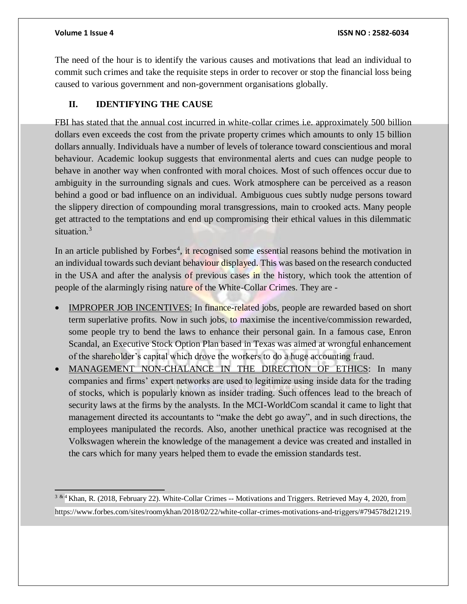$\overline{a}$ 

The need of the hour is to identify the various causes and motivations that lead an individual to commit such crimes and take the requisite steps in order to recover or stop the financial loss being caused to various government and non-government organisations globally.

### **II. IDENTIFYING THE CAUSE**

FBI has stated that the annual cost incurred in white-collar crimes i.e. approximately 500 billion dollars even exceeds the cost from the private property crimes which amounts to only 15 billion dollars annually. Individuals have a number of levels of tolerance toward conscientious and moral behaviour. Academic lookup suggests that environmental alerts and cues can nudge people to behave in another way when confronted with moral choices. Most of such offences occur due to ambiguity in the surrounding signals and cues. Work atmosphere can be perceived as a reason behind a good or bad influence on an individual. Ambiguous cues subtly nudge persons toward the slippery direction of compounding moral transgressions, main to crooked acts. Many people get attracted to the temptations and end up compromising their ethical values in this dilemmatic situation.<sup>3</sup>

In an article published by Forbes<sup>4</sup>, it recognised some essential reasons behind the motivation in an individual towards such deviant behaviour displayed. This was based on the research conducted in the USA and after the analysis of previous cases in the history, which took the attention of people of the alarmingly rising nature of the White-Collar Crimes. They are -

- IMPROPER JOB INCENTIVES: In finance-related jobs, people are rewarded based on short term superlative profits. Now in such jobs, to maximise the incentive/commission rewarded, some people try to bend the laws to enhance their personal gain. In a famous case, Enron Scandal, an Executive Stock Option Plan based in Texas was aimed at wrongful enhancement of the shareholder's capital which drove the workers to do a huge accounting fraud.
- MANAGEMENT NON-CHALANCE IN THE DIRECTION OF ETHICS: In many companies and firms' expert networks are used to legitimize using inside data for the trading of stocks, which is popularly known as insider trading. Such offences lead to the breach of security laws at the firms by the analysts. In the MCI-WorldCom scandal it came to light that management directed its accountants to "make the debt go away", and in such directions, the employees manipulated the records. Also, another unethical practice was recognised at the Volkswagen wherein the knowledge of the management a device was created and installed in the cars which for many years helped them to evade the emission standards test.

<sup>3 & 4</sup> Khan, R. (2018, February 22). White-Collar Crimes -- Motivations and Triggers. Retrieved May 4, 2020, from https://www.forbes.com/sites/roomykhan/2018/02/22/white-collar-crimes-motivations-and-triggers/#794578d21219.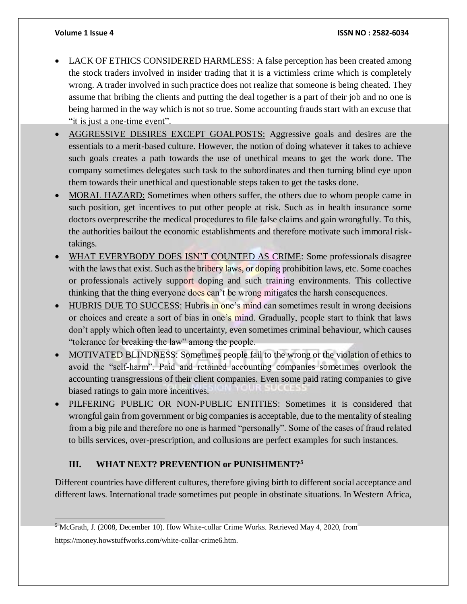- LACK OF ETHICS CONSIDERED HARMLESS: A false perception has been created among the stock traders involved in insider trading that it is a victimless crime which is completely wrong. A trader involved in such practice does not realize that someone is being cheated. They assume that bribing the clients and putting the deal together is a part of their job and no one is being harmed in the way which is not so true. Some accounting frauds start with an excuse that "it is just a one-time event".
- AGGRESSIVE DESIRES EXCEPT GOALPOSTS: Aggressive goals and desires are the essentials to a merit-based culture. However, the notion of doing whatever it takes to achieve such goals creates a path towards the use of unethical means to get the work done. The company sometimes delegates such task to the subordinates and then turning blind eye upon them towards their unethical and questionable steps taken to get the tasks done.
- MORAL HAZARD: Sometimes when others suffer, the others due to whom people came in such position, get incentives to put other people at risk. Such as in health insurance some doctors overprescribe the medical procedures to file false claims and gain wrongfully. To this, the authorities bailout the economic establishments and therefore motivate such immoral risktakings.
- WHAT EVERYBODY DOES ISN'T COUNTED AS CRIME: Some professionals disagree with the laws that exist. Such as the bribery laws, or doping prohibition laws, etc. Some coaches or professionals actively support doping and such training environments. This collective thinking that the thing everyone does can't be wrong mitigates the harsh consequences.
- HUBRIS DUE TO SUCCESS: Hubris in one's mind can sometimes result in wrong decisions or choices and create a sort of bias in one's mind. Gradually, people start to think that laws don't apply which often lead to uncertainty, even sometimes criminal behaviour, which causes "tolerance for breaking the law" among the people.
- MOTIVATED BLINDNESS: Sometimes people fail to the wrong or the violation of ethics to avoid the "self-harm". Paid and retained accounting companies sometimes overlook the accounting transgressions of their client companies. Even some paid rating companies to give biased ratings to gain more incentives.
- PILFERING PUBLIC OR NON-PUBLIC ENTITIES: Sometimes it is considered that wrongful gain from government or big companies is acceptable, due to the mentality of stealing from a big pile and therefore no one is harmed "personally". Some of the cases of fraud related to bills services, over-prescription, and collusions are perfect examples for such instances.

### **III. WHAT NEXT? PREVENTION or PUNISHMENT?<sup>5</sup>**

Different countries have different cultures, therefore giving birth to different social acceptance and different laws. International trade sometimes put people in obstinate situations. In Western Africa,

 <sup>5</sup> McGrath, J. (2008, December 10). How White-collar Crime Works. Retrieved May 4, 2020, from

https://money.howstuffworks.com/white-collar-crime6.htm.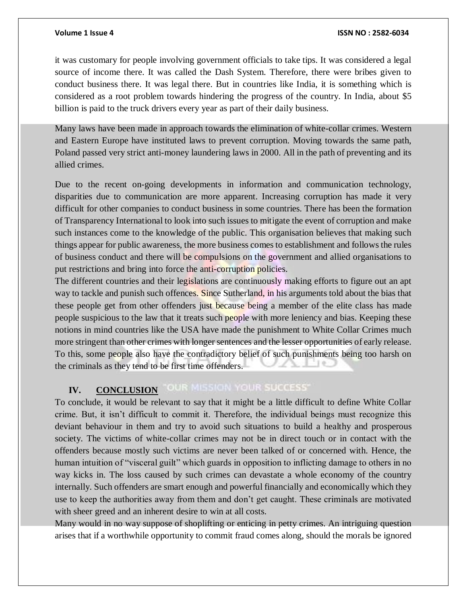it was customary for people involving government officials to take tips. It was considered a legal source of income there. It was called the Dash System. Therefore, there were bribes given to conduct business there. It was legal there. But in countries like India, it is something which is considered as a root problem towards hindering the progress of the country. In India, about \$5 billion is paid to the truck drivers every year as part of their daily business.

Many laws have been made in approach towards the elimination of white-collar crimes. Western and Eastern Europe have instituted laws to prevent corruption. Moving towards the same path, Poland passed very strict anti-money laundering laws in 2000. All in the path of preventing and its allied crimes.

Due to the recent on-going developments in information and communication technology, disparities due to communication are more apparent. Increasing corruption has made it very difficult for other companies to conduct business in some countries. There has been the formation of Transparency International to look into such issues to mitigate the event of corruption and make such instances come to the knowledge of the public. This organisation believes that making such things appear for public awareness, the more business comes to establishment and follows the rules of business conduct and there will be compulsions on the government and allied organisations to put restrictions and bring into force the anti-corruption policies.

The different countries and their legislations are continuously making efforts to figure out an apt way to tackle and punish such offences. Since Sutherland, in his arguments told about the bias that these people get from other offenders just because being a member of the elite class has made people suspicious to the law that it treats such people with more leniency and bias. Keeping these notions in mind countries like the USA have made the punishment to White Collar Crimes much more stringent than other crimes with longer sentences and the lesser opportunities of early release. To this, some people also have the contradictory belief of such punishments being too harsh on the criminals as they tend to be first time offenders.

#### OUR MISSION YOUR SUCCESS' **IV. CONCLUSION**

To conclude, it would be relevant to say that it might be a little difficult to define White Collar crime. But, it isn't difficult to commit it. Therefore, the individual beings must recognize this deviant behaviour in them and try to avoid such situations to build a healthy and prosperous society. The victims of white-collar crimes may not be in direct touch or in contact with the offenders because mostly such victims are never been talked of or concerned with. Hence, the human intuition of "visceral guilt" which guards in opposition to inflicting damage to others in no way kicks in. The loss caused by such crimes can devastate a whole economy of the country internally. Such offenders are smart enough and powerful financially and economically which they use to keep the authorities away from them and don't get caught. These criminals are motivated with sheer greed and an inherent desire to win at all costs.

Many would in no way suppose of shoplifting or enticing in petty crimes. An intriguing question arises that if a worthwhile opportunity to commit fraud comes along, should the morals be ignored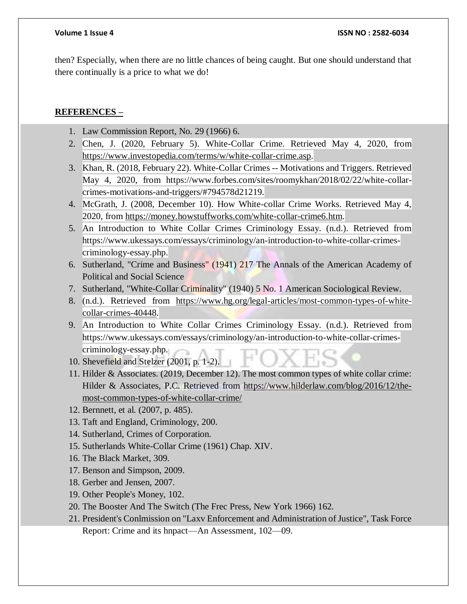then? Especially, when there are no little chances of being caught. But one should understand that there continually is a price to what we do!

### **REFERENCES –**

- 1. Law Commission Report, No. 29 (1966) 6.
- 2. Chen, J. (2020, February 5). White-Collar Crime. Retrieved May 4, 2020, from [https://www.investopedia.com/terms/w/white-collar-crime.asp.](https://www.investopedia.com/terms/w/white-collar-crime.asp)
- 3. Khan, R. (2018, February 22). White-Collar Crimes -- Motivations and Triggers. Retrieved May 4, 2020, from https://www.forbes.com/sites/roomykhan/2018/02/22/white-collarcrimes-motivations-and-triggers/#794578d21219.
- 4. McGrath, J. (2008, December 10). How White-collar Crime Works. Retrieved May 4, 2020, from [https://money.howstuffworks.com/white-collar-crime6.htm.](https://money.howstuffworks.com/white-collar-crime6.htm)
- 5. An Introduction to White Collar Crimes Criminology Essay. (n.d.). Retrieved from https://www.ukessays.com/essays/criminology/an-introduction-to-white-collar-crimescriminology-essay.php.
- 6. Sutherland, "Crime and Business" (1941) 217 The Annals of the American Academy of Political and Social Science
- 7. Sutherland, "White-Collar Criminality" (1940) 5 No. 1 American Sociological Review.
- 8. (n.d.). Retrieved from [https://www.hg.org/legal-articles/most-common-types-of-white](https://www.hg.org/legal-articles/most-common-types-of-white-collar-crimes-40448)[collar-crimes-40448.](https://www.hg.org/legal-articles/most-common-types-of-white-collar-crimes-40448)
- 9. An Introduction to White Collar Crimes Criminology Essay. (n.d.). Retrieved from https://www.ukessays.com/essays/criminology/an-introduction-to-white-collar-crimescriminology-essay.php.
- 10. Shevefield and Stelzer (2001, p. 1-2).
- 11. Hilder & Associates. (2019, December 12). The most common types of white collar crime: Hilder & Associates, P.C. Retrieved from [https://www.hilderlaw.com/blog/2016/12/the](https://www.hilderlaw.com/blog/2016/12/the-most-common-types-of-white-collar-crime/)[most-common-types-of-white-collar-crime/](https://www.hilderlaw.com/blog/2016/12/the-most-common-types-of-white-collar-crime/)
- 12. Bernnett, et al. (2007, p. 485).
- 13. Taft and England, Criminology, 200.
- 14. Sutherland, Crimes of Corporation.
- 15. Sutherlands White-Collar Crime (1961) Chap. XIV.
- 16. The Black Market, 309.
- 17. Benson and Simpson, 2009.
- 18. Gerber and Jensen, 2007.
- 19. Other People's Money, 102.
- 20. The Booster And The Switch (The Frec Press, New York 1966) 162.
- 21. President's Conlmission on "Laxv Enforcement and Administration of Justice", Task Force Report: Crime and its hnpact—An Assessment, 102—09.